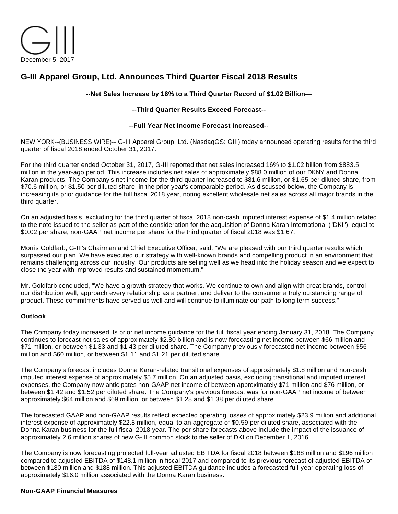

# **G-III Apparel Group, Ltd. Announces Third Quarter Fiscal 2018 Results**

#### **--Net Sales Increase by 16% to a Third Quarter Record of \$1.02 Billion—**

#### **--Third Quarter Results Exceed Forecast--**

#### **--Full Year Net Income Forecast Increased--**

NEW YORK--(BUSINESS WIRE)-- G-III Apparel Group, Ltd. (NasdaqGS: GIII) today announced operating results for the third quarter of fiscal 2018 ended October 31, 2017.

For the third quarter ended October 31, 2017, G-III reported that net sales increased 16% to \$1.02 billion from \$883.5 million in the year-ago period. This increase includes net sales of approximately \$88.0 million of our DKNY and Donna Karan products. The Company's net income for the third quarter increased to \$81.6 million, or \$1.65 per diluted share, from \$70.6 million, or \$1.50 per diluted share, in the prior year's comparable period. As discussed below, the Company is increasing its prior guidance for the full fiscal 2018 year, noting excellent wholesale net sales across all major brands in the third quarter.

On an adjusted basis, excluding for the third quarter of fiscal 2018 non-cash imputed interest expense of \$1.4 million related to the note issued to the seller as part of the consideration for the acquisition of Donna Karan International ("DKI"), equal to \$0.02 per share, non-GAAP net income per share for the third quarter of fiscal 2018 was \$1.67.

Morris Goldfarb, G-III's Chairman and Chief Executive Officer, said, "We are pleased with our third quarter results which surpassed our plan. We have executed our strategy with well-known brands and compelling product in an environment that remains challenging across our industry. Our products are selling well as we head into the holiday season and we expect to close the year with improved results and sustained momentum."

Mr. Goldfarb concluded, "We have a growth strategy that works. We continue to own and align with great brands, control our distribution well, approach every relationship as a partner, and deliver to the consumer a truly outstanding range of product. These commitments have served us well and will continue to illuminate our path to long term success."

#### **Outlook**

The Company today increased its prior net income guidance for the full fiscal year ending January 31, 2018. The Company continues to forecast net sales of approximately \$2.80 billion and is now forecasting net income between \$66 million and \$71 million, or between \$1.33 and \$1.43 per diluted share. The Company previously forecasted net income between \$56 million and \$60 million, or between \$1.11 and \$1.21 per diluted share.

The Company's forecast includes Donna Karan-related transitional expenses of approximately \$1.8 million and non-cash imputed interest expense of approximately \$5.7 million. On an adjusted basis, excluding transitional and imputed interest expenses, the Company now anticipates non-GAAP net income of between approximately \$71 million and \$76 million, or between \$1.42 and \$1.52 per diluted share. The Company's previous forecast was for non-GAAP net income of between approximately \$64 million and \$69 million, or between \$1.28 and \$1.38 per diluted share.

The forecasted GAAP and non-GAAP results reflect expected operating losses of approximately \$23.9 million and additional interest expense of approximately \$22.8 million, equal to an aggregate of \$0.59 per diluted share, associated with the Donna Karan business for the full fiscal 2018 year. The per share forecasts above include the impact of the issuance of approximately 2.6 million shares of new G-III common stock to the seller of DKI on December 1, 2016.

The Company is now forecasting projected full-year adjusted EBITDA for fiscal 2018 between \$188 million and \$196 million compared to adjusted EBITDA of \$148.1 million in fiscal 2017 and compared to its previous forecast of adjusted EBITDA of between \$180 million and \$188 million. This adjusted EBITDA guidance includes a forecasted full-year operating loss of approximately \$16.0 million associated with the Donna Karan business.

#### **Non-GAAP Financial Measures**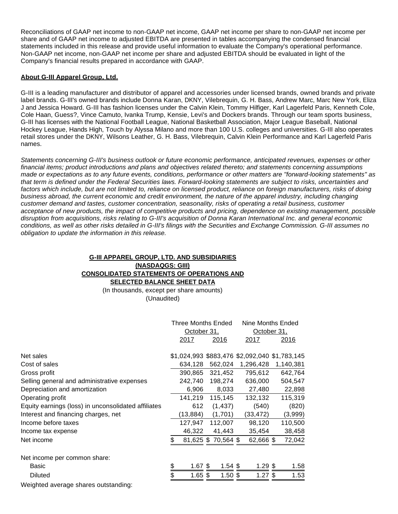Reconciliations of GAAP net income to non-GAAP net income, GAAP net income per share to non-GAAP net income per share and of GAAP net income to adjusted EBITDA are presented in tables accompanying the condensed financial statements included in this release and provide useful information to evaluate the Company's operational performance. Non-GAAP net income, non-GAAP net income per share and adjusted EBITDA should be evaluated in light of the Company's financial results prepared in accordance with GAAP.

#### **About G-III Apparel Group, Ltd.**

G-III is a leading manufacturer and distributor of apparel and accessories under licensed brands, owned brands and private label brands. G-III's owned brands include Donna Karan, DKNY, Vilebrequin, G. H. Bass, Andrew Marc, Marc New York, Eliza J and Jessica Howard. G-III has fashion licenses under the Calvin Klein, Tommy Hilfiger, Karl Lagerfeld Paris, Kenneth Cole, Cole Haan, Guess?, Vince Camuto, Ivanka Trump, Kensie, Levi's and Dockers brands. Through our team sports business, G-III has licenses with the National Football League, National Basketball Association, Major League Baseball, National Hockey League, Hands High, Touch by Alyssa Milano and more than 100 U.S. colleges and universities. G-III also operates retail stores under the DKNY, Wilsons Leather, G. H. Bass, Vilebrequin, Calvin Klein Performance and Karl Lagerfeld Paris names.

Statements concerning G-III's business outlook or future economic performance, anticipated revenues, expenses or other financial items; product introductions and plans and objectives related thereto; and statements concerning assumptions made or expectations as to any future events, conditions, performance or other matters are "forward-looking statements" as that term is defined under the Federal Securities laws. Forward-looking statements are subject to risks, uncertainties and factors which include, but are not limited to, reliance on licensed product, reliance on foreign manufacturers, risks of doing business abroad, the current economic and credit environment, the nature of the apparel industry, including changing customer demand and tastes, customer concentration, seasonality, risks of operating a retail business, customer acceptance of new products, the impact of competitive products and pricing, dependence on existing management, possible disruption from acquisitions, risks relating to G-III's acquisition of Donna Karan International Inc. and general economic conditions, as well as other risks detailed in G-III's filings with the Securities and Exchange Commission. G-III assumes no obligation to update the information in this release.

#### **G-III APPAREL GROUP, LTD. AND SUBSIDIARIES (NASDAQGS: GIII) CONSOLIDATED STATEMENTS OF OPERATIONS AND SELECTED BALANCE SHEET DATA**

(In thousands, except per share amounts) (Unaudited)

|                                                     | <b>Three Months Ended</b> |                    | Nine Months Ended                             |              |  |
|-----------------------------------------------------|---------------------------|--------------------|-----------------------------------------------|--------------|--|
|                                                     | October 31,               |                    |                                               | October 31,  |  |
|                                                     | <u> 2017 </u>             | <u> 2016</u>       | <u> 2017 </u>                                 | <u> 2016</u> |  |
| Net sales                                           |                           |                    | \$1,024,993 \$883,476 \$2,092,040 \$1,783,145 |              |  |
| Cost of sales                                       | 634,128                   | 562,024            | 1,296,428                                     | 1,140,381    |  |
| Gross profit                                        | 390,865                   | 321,452            | 795,612                                       | 642,764      |  |
| Selling general and administrative expenses         | 242,740                   | 198,274            | 636,000                                       | 504,547      |  |
| Depreciation and amortization                       | 6,906                     | 8,033              | 27,480                                        | 22,898       |  |
| Operating profit                                    | 141,219                   | 115,145            | 132,132                                       | 115,319      |  |
| Equity earnings (loss) in unconsolidated affiliates | 612                       | (1, 437)           | (540)                                         | (820)        |  |
| Interest and financing charges, net                 | (13, 884)                 | (1,701)            | (33, 472)                                     | (3,999)      |  |
| Income before taxes                                 | 127,947                   | 112,007            | 98,120                                        | 110,500      |  |
| Income tax expense                                  | 46,322                    | 41,443             | 35,454                                        | 38,458       |  |
| Net income                                          |                           | 81,625 \$70,564 \$ | 62,666 \$                                     | 72,042       |  |
| Net income per common share:                        |                           |                    |                                               |              |  |
| Basic                                               | \$<br>$1.67$ \$           | $1.54$ \$          | $1.29$ \$                                     | 1.58         |  |
| <b>Diluted</b>                                      | $1.65$ \$                 | $1.50$ \$          | $1.27$ \$                                     | 1.53         |  |
| Weighted average shares outstanding:                |                           |                    |                                               |              |  |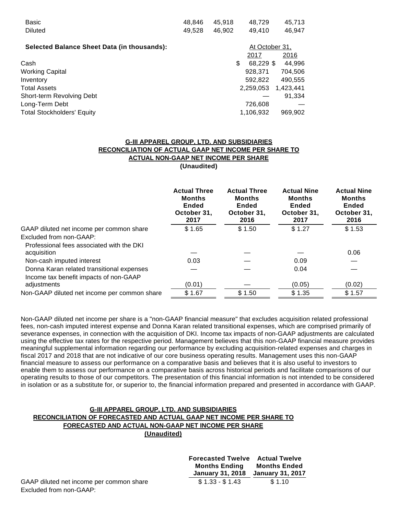| Basic                                              | 48,846 | 45.918 | 48,729         | 45,713    |
|----------------------------------------------------|--------|--------|----------------|-----------|
| <b>Diluted</b>                                     | 49,528 | 46,902 | 49.410         | 46,947    |
|                                                    |        |        |                |           |
| <b>Selected Balance Sheet Data (in thousands):</b> |        |        | At October 31, |           |
|                                                    |        |        | 2017           | 2016      |
| Cash                                               |        | \$     | 68,229 \$      | 44,996    |
| <b>Working Capital</b>                             |        |        | 928,371        | 704,506   |
| Inventory                                          |        |        | 592.822        | 490,555   |
| Total Assets                                       |        |        | 2,259,053      | 1,423,441 |
| Short-term Revolving Debt                          |        |        |                | 91,334    |
| Long-Term Debt                                     |        |        | 726,608        |           |
| Total Stockholders' Equity                         |        |        | 1,106,932      | 969,902   |

# **G-III APPAREL GROUP, LTD. AND SUBSIDIARIES RECONCILIATION OF ACTUAL GAAP NET INCOME PER SHARE TO ACTUAL NON-GAAP NET INCOME PER SHARE**

**(Unaudited)**

|                                              | <b>Actual Three</b><br><b>Months</b><br>Ended<br>October 31,<br>2017 | <b>Actual Three</b><br><b>Months</b><br>Ended<br>October 31,<br>2016 | <b>Actual Nine</b><br><b>Months</b><br><b>Ended</b><br>October 31,<br>2017 | <b>Actual Nine</b><br><b>Months</b><br><b>Ended</b><br>October 31,<br>2016 |
|----------------------------------------------|----------------------------------------------------------------------|----------------------------------------------------------------------|----------------------------------------------------------------------------|----------------------------------------------------------------------------|
| GAAP diluted net income per common share     | \$1.65                                                               | \$1.50                                                               | \$1.27                                                                     | \$1.53                                                                     |
| Excluded from non-GAAP:                      |                                                                      |                                                                      |                                                                            |                                                                            |
| Professional fees associated with the DKI    |                                                                      |                                                                      |                                                                            |                                                                            |
| acquisition                                  |                                                                      |                                                                      |                                                                            | 0.06                                                                       |
| Non-cash imputed interest                    | 0.03                                                                 |                                                                      | 0.09                                                                       |                                                                            |
| Donna Karan related transitional expenses    |                                                                      |                                                                      | 0.04                                                                       |                                                                            |
| Income tax benefit impacts of non-GAAP       |                                                                      |                                                                      |                                                                            |                                                                            |
| adjustments                                  | (0.01)                                                               |                                                                      | (0.05)                                                                     | (0.02)                                                                     |
| Non-GAAP diluted net income per common share | \$1.67                                                               | \$1.50                                                               | \$1.35                                                                     | \$1.57                                                                     |

Non-GAAP diluted net income per share is a "non-GAAP financial measure" that excludes acquisition related professional fees, non-cash imputed interest expense and Donna Karan related transitional expenses, which are comprised primarily of severance expenses, in connection with the acquisition of DKI. Income tax impacts of non-GAAP adjustments are calculated using the effective tax rates for the respective period. Management believes that this non-GAAP financial measure provides meaningful supplemental information regarding our performance by excluding acquisition-related expenses and charges in fiscal 2017 and 2018 that are not indicative of our core business operating results. Management uses this non-GAAP financial measure to assess our performance on a comparative basis and believes that it is also useful to investors to enable them to assess our performance on a comparative basis across historical periods and facilitate comparisons of our operating results to those of our competitors. The presentation of this financial information is not intended to be considered in isolation or as a substitute for, or superior to, the financial information prepared and presented in accordance with GAAP.

#### **G-III APPAREL GROUP, LTD. AND SUBSIDIARIES RECONCILIATION OF FORECASTED AND ACTUAL GAAP NET INCOME PER SHARE TO FORECASTED AND ACTUAL NON-GAAP NET INCOME PER SHARE (Unaudited)**

|                                          | <b>Forecasted Twelve</b> Actual Twelve<br>Months Ending<br>January 31, 2018 | Months Ended<br>January 31, 2017 |
|------------------------------------------|-----------------------------------------------------------------------------|----------------------------------|
| GAAP diluted net income per common share | $$1.33 - $1.43$                                                             | \$1.10                           |
| Excluded from non-GAAP:                  |                                                                             |                                  |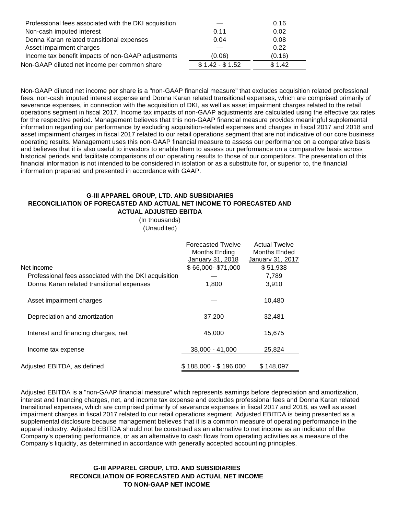| Professional fees associated with the DKI acquisition |                 | 0.16   |  |
|-------------------------------------------------------|-----------------|--------|--|
| Non-cash imputed interest                             | 0.11            | 0.02   |  |
| Donna Karan related transitional expenses             | 0.04            | 0.08   |  |
| Asset impairment charges                              |                 | 0.22   |  |
| Income tax benefit impacts of non-GAAP adjustments    | (0.06)          | (0.16) |  |
| Non-GAAP diluted net income per common share          | $$1.42 - $1.52$ | \$1.42 |  |
|                                                       |                 |        |  |

Non-GAAP diluted net income per share is a "non-GAAP financial measure" that excludes acquisition related professional fees, non-cash imputed interest expense and Donna Karan related transitional expenses, which are comprised primarily of severance expenses, in connection with the acquisition of DKI, as well as asset impairment charges related to the retail operations segment in fiscal 2017. Income tax impacts of non-GAAP adjustments are calculated using the effective tax rates for the respective period. Management believes that this non-GAAP financial measure provides meaningful supplemental information regarding our performance by excluding acquisition-related expenses and charges in fiscal 2017 and 2018 and asset impairment charges in fiscal 2017 related to our retail operations segment that are not indicative of our core business operating results. Management uses this non-GAAP financial measure to assess our performance on a comparative basis and believes that it is also useful to investors to enable them to assess our performance on a comparative basis across historical periods and facilitate comparisons of our operating results to those of our competitors. The presentation of this financial information is not intended to be considered in isolation or as a substitute for, or superior to, the financial information prepared and presented in accordance with GAAP.

#### **G-III APPAREL GROUP, LTD. AND SUBSIDIARIES RECONCILIATION OF FORECASTED AND ACTUAL NET INCOME TO FORECASTED AND ACTUAL ADJUSTED EBITDA**

(In thousands) (Unaudited)

| Net income<br>Professional fees associated with the DKI acquisition<br>Donna Karan related transitional expenses | <b>Forecasted Twelve</b><br>Months Ending<br>January 31, 2018<br>\$66,000-\$71,000<br>1,800 | <b>Actual Twelve</b><br>Months Ended<br>January 31, 2017<br>\$51,938<br>7,789<br>3,910 |
|------------------------------------------------------------------------------------------------------------------|---------------------------------------------------------------------------------------------|----------------------------------------------------------------------------------------|
| Asset impairment charges                                                                                         |                                                                                             | 10,480                                                                                 |
| Depreciation and amortization                                                                                    | 37,200                                                                                      | 32,481                                                                                 |
| Interest and financing charges, net                                                                              | 45,000                                                                                      | 15,675                                                                                 |
| Income tax expense                                                                                               | 38.000 - 41.000                                                                             | 25.824                                                                                 |
| Adjusted EBITDA, as defined                                                                                      | $$188.000 - $196.000$                                                                       | \$148.097                                                                              |

Adjusted EBITDA is a "non-GAAP financial measure" which represents earnings before depreciation and amortization, interest and financing charges, net, and income tax expense and excludes professional fees and Donna Karan related transitional expenses, which are comprised primarily of severance expenses in fiscal 2017 and 2018, as well as asset impairment charges in fiscal 2017 related to our retail operations segment. Adjusted EBITDA is being presented as a supplemental disclosure because management believes that it is a common measure of operating performance in the apparel industry. Adjusted EBITDA should not be construed as an alternative to net income as an indicator of the Company's operating performance, or as an alternative to cash flows from operating activities as a measure of the Company's liquidity, as determined in accordance with generally accepted accounting principles.

## **G-III APPAREL GROUP, LTD. AND SUBSIDIARIES RECONCILIATION OF FORECASTED AND ACTUAL NET INCOME TO NON-GAAP NET INCOME**